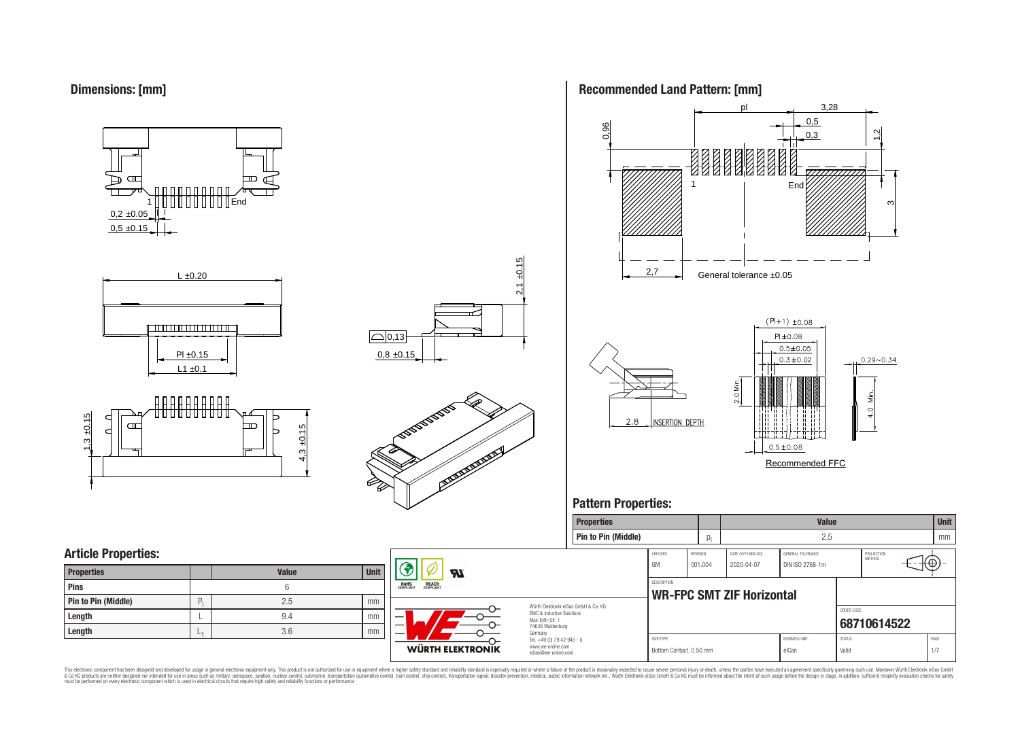

















## **Pattern Properties:**



This electronic component has been designed and developed for usage in general electronic equipment only. This product is not authorized for use in equipment where a higher safely standard and reliability standard si espec & Ook product a label and the membed of the seasuch as marked and as which such a membed and the such assume that income in the seasuch and the simulation and the such assume that include to the such a membed and the such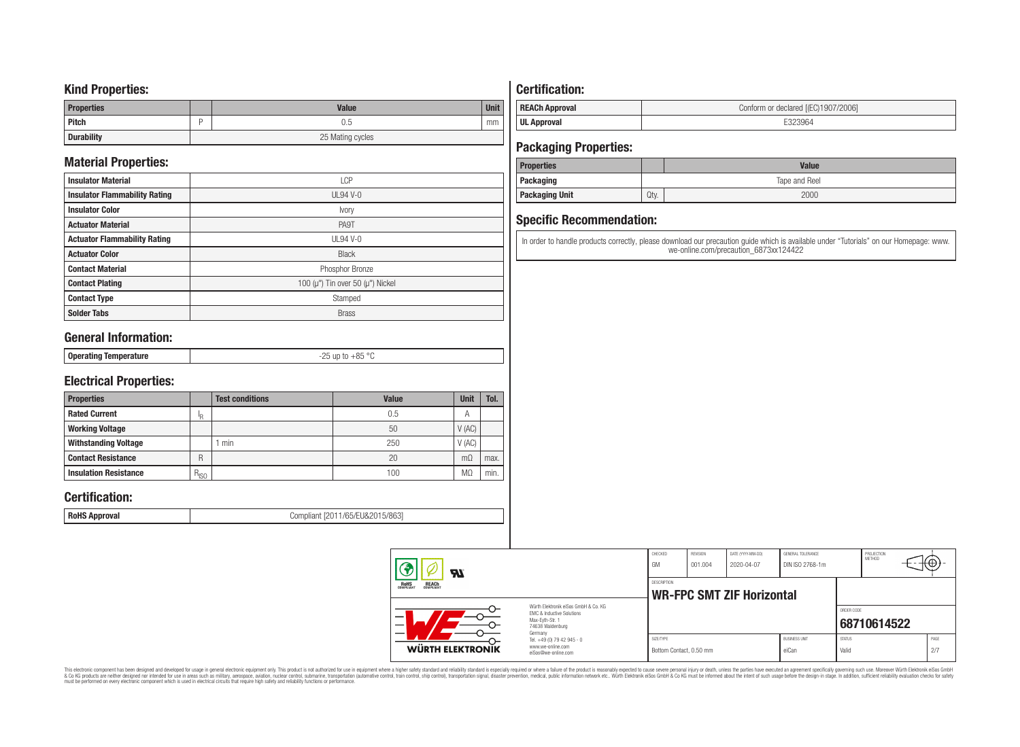## **Kind Properties:**

| <b>Properties</b> | <b>Value</b>     | <b>Unit</b> |
|-------------------|------------------|-------------|
| <b>Pitch</b>      | 0.5              | mm          |
| <b>Durability</b> | 25 Mating cycles |             |

# **Material Properties:**

| <b>Insulator Material</b>            | <b>LCP</b>                                   |
|--------------------------------------|----------------------------------------------|
| <b>Insulator Flammability Rating</b> | $UL94V-0$                                    |
| <b>Insulator Color</b>               | Ivory                                        |
| <b>Actuator Material</b>             | PA9T                                         |
| <b>Actuator Flammability Rating</b>  | UL94 V-0                                     |
| <b>Actuator Color</b>                | <b>Black</b>                                 |
| <b>Contact Material</b>              | Phosphor Bronze                              |
| <b>Contact Plating</b>               | 100 ( $\mu$ ") Tin over 50 ( $\mu$ ") Nickel |
| <b>Contact Type</b>                  | Stamped                                      |
| <b>Solder Tabs</b>                   | <b>Brass</b>                                 |

# **General Information:**

| 0 <sub>n</sub><br>------<br>еганно теп<br><br><b>Pormand</b> | $\sim$<br>OE<br>$ -$<br>. |
|--------------------------------------------------------------|---------------------------|

# **Electrical Properties:**

| <b>Properties</b>            |           | <b>Test conditions</b> | Value | Unit           | Tol. |
|------------------------------|-----------|------------------------|-------|----------------|------|
| <b>Rated Current</b>         | םו        |                        | 0.5   | $\overline{A}$ |      |
| <b>Working Voltage</b>       |           |                        | 50    | V(AC)          |      |
| <b>Withstanding Voltage</b>  |           | min                    | 250   | V(AC)          |      |
| <b>Contact Resistance</b>    | R         |                        | 20    | $m\Omega$      | max. |
| <b>Insulation Resistance</b> | $R_{ISO}$ |                        | 100   | M <sub>2</sub> | min. |

# **Certification:**

**RoHS Approval RoHS Approval Compliant** [2011/65/EU&2015/863]

# **Certification:**

| <b>REACh Approval</b> | Conform or declared [(EC)1907/2006] |
|-----------------------|-------------------------------------|
| <b>UL Approval</b>    |                                     |

# **Packaging Properties:**

| <b>Properties</b>     |      | <b>Value</b>  |  |  |  |
|-----------------------|------|---------------|--|--|--|
| Packaging             |      | Tape and Reel |  |  |  |
| <b>Packaging Unit</b> | Qty. | 2000          |  |  |  |

# **Specific Recommendation:**

In order to handle products correctly, please download our precaution guide which is available under "Tutorials" on our Homepage: www. we-online.com/precaution\_6873xx124422

| WÜRTH ELEKTRONIK                                                                                                                                                             | Tel. +49 (0) 79 42 945 - 0<br>www.we-online.com<br>eiSos@we-online.com | Bottom Contact, 0.50 mm |                            |                                  | eiCan                                | Valid                       |                      | 2/7  |  |
|------------------------------------------------------------------------------------------------------------------------------------------------------------------------------|------------------------------------------------------------------------|-------------------------|----------------------------|----------------------------------|--------------------------------------|-----------------------------|----------------------|------|--|
| <b>REACH</b><br>COMPLIANT<br><b>ROHS</b><br>COMPLIANT<br>Würth Flektronik eiSos GmbH & Co. KG<br>EMC & Inductive Solutions<br>Max-Evth-Str. 1<br>74638 Waldenburg<br>Germany |                                                                        | SIZE/TYPE               |                            |                                  | <b>BUSINESS UNIT</b>                 | ORDER CODE<br><b>STATUS</b> | 68710614522          | PAGE |  |
|                                                                                                                                                                              |                                                                        | DESCRIPTION             |                            | <b>WR-FPC SMT ZIF Horizontal</b> |                                      |                             |                      |      |  |
| $\boldsymbol{\pi}$                                                                                                                                                           |                                                                        | CHECKED<br>GM           | <b>REVISION</b><br>001.004 | DATE (YYYY-MM-DD)<br>2020-04-07  | GENERAL TOLERANCE<br>DIN ISO 2768-1m |                             | PROJECTION<br>METHOD | €θ   |  |

This electronic component has been designed and developed for usage in general electronic equipment only. This product is not authorized for subserved requipment where a higher selection equipment where a higher selection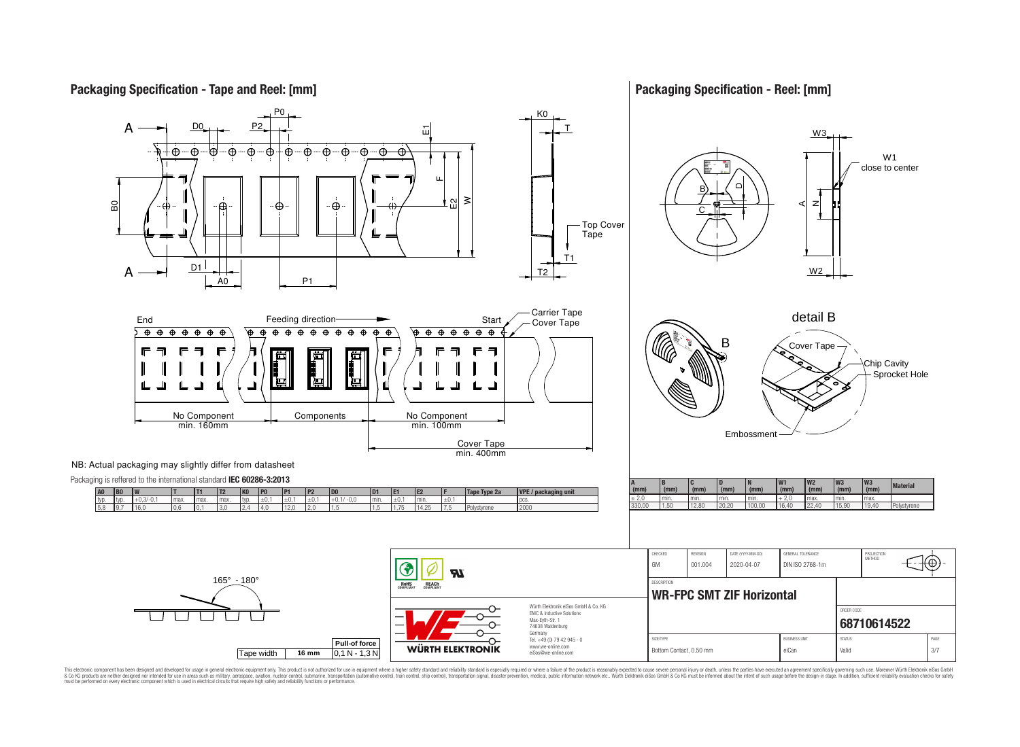

**Packaging Specification - Reel: [mm]**



This electronic component has been designed and developed for usage in general electronic equipment only. This product is not authorized for use in equipment where a higher safely standard and reliability standard si espec & Ook product a label and the membed of the seasuch as marked and as which such a membed and the such assume that income in the seasuch and the simulation and the such assume that include to the such a membed and the such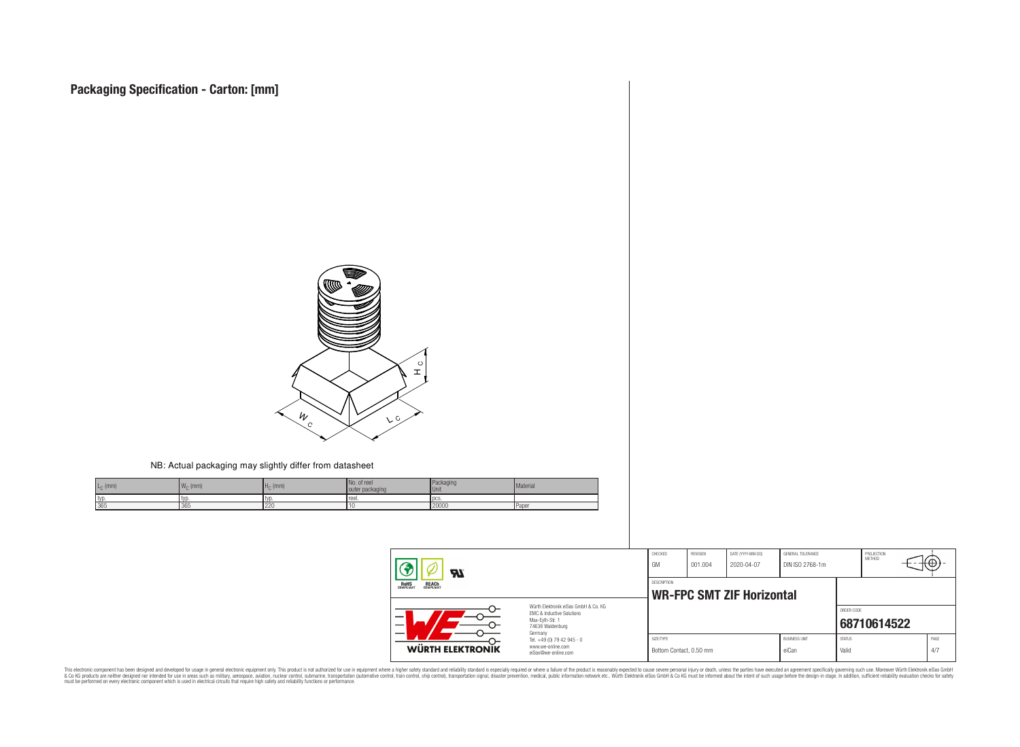

#### NB: Actual packaging may slightly differ from datasheet

| $L_{\rm C}$ (mm) | $W_{\cap}$ (mm) | $Hc$ (mm) | No.<br>. of reel<br>outer packaging | Packaging<br>Unit | Material     |
|------------------|-----------------|-----------|-------------------------------------|-------------------|--------------|
| typ.             | I LVI.          | ' IVL     | reel.                               | l pcs             |              |
| 365              | 365             | 220       |                                     | 20000             | <b>Paper</b> |

| $\boldsymbol{\mathcal{H}}$                                                                                               |                                                                                   | CHECKED<br>GM                                   | REVISION<br>001.004 | DATE (YYYY-MM-DD)<br>2020-04-07 | GENERAL TOLERANCE<br>DIN ISO 2768-1m |                        | PROJECTION<br>METHOD |  | tΦ          |
|--------------------------------------------------------------------------------------------------------------------------|-----------------------------------------------------------------------------------|-------------------------------------------------|---------------------|---------------------------------|--------------------------------------|------------------------|----------------------|--|-------------|
| <b>ROHS</b><br>COMPLIANT<br><b>REACH</b><br>COMPLIANT                                                                    |                                                                                   | DESCRIPTION<br><b>WR-FPC SMT ZIF Horizontal</b> |                     |                                 |                                      |                        |                      |  |             |
| Würth Flektronik eiSos GmbH & Co. KG<br><b>EMC &amp; Inductive Solutions</b><br>–<br>Max-Eyth-Str. 1<br>74638 Waldenburg |                                                                                   |                                                 |                     |                                 |                                      | ORDER CODE             | 68710614522          |  |             |
| WÜRTH ELEKTRONIK                                                                                                         | Germany<br>Tel. +49 (0) 79 42 945 - 0<br>www.we-online.com<br>eiSos@we-online.com | SIZE/TYPE<br>Bottom Contact, 0.50 mm            |                     |                                 | <b>BUSINESS UNIT</b><br>eiCan        | <b>STATUS</b><br>Valid |                      |  | PAGE<br>4/7 |

This electronic component has been designed and developed for usage in general electronic equipment only. This product is not authorized for subserved requipment where a higher selection equipment where a higher selection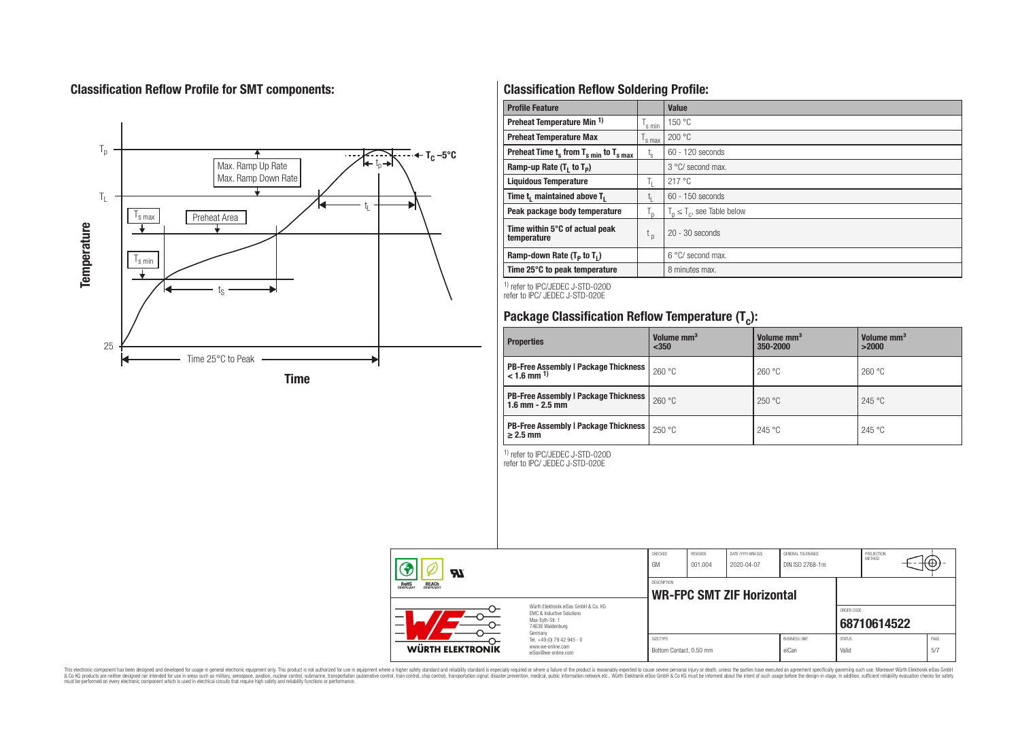# **Classification Reflow Profile for SMT components:**



# **Classification Reflow Soldering Profile:**

| <b>Profile Feature</b>                              |                    | Value                            |
|-----------------------------------------------------|--------------------|----------------------------------|
| Preheat Temperature Min <sup>1)</sup>               | <sup>I</sup> s min | 150 °C                           |
| <b>Preheat Temperature Max</b>                      | 's max             | 200 °C                           |
| Preheat Time $t_s$ from $T_{s,min}$ to $T_{s,max}$  | $t_{\rm s}$        | $60 - 120$ seconds               |
| Ramp-up Rate $(T_1$ to $T_p$ )                      |                    | 3 °C/ second max.                |
| <b>Liquidous Temperature</b>                        | Ь.                 | 217°C                            |
| Time t <sub>1</sub> maintained above T <sub>1</sub> | ь.                 | $60 - 150$ seconds               |
| Peak package body temperature                       | l n                | $T_n \leq T_c$ , see Table below |
| Time within 5°C of actual peak<br>temperature       | t <sub>p</sub>     | $20 - 30$ seconds                |
| Ramp-down Rate $(T_p$ to $T_1$ )                    |                    | $6^{\circ}$ C/ second max.       |
| Time 25°C to peak temperature                       |                    | 8 minutes max.                   |

1) refer to IPC/JEDEC J-STD-020D refer to IPC/ JEDEC J-STD-020E

# **Package Classification Reflow Temperature (T<sup>c</sup> ):**

| <b>Properties</b>                                                         | Volume mm <sup>3</sup><br>$350$ | Volume mm <sup>3</sup><br>350-2000 | Volume mm <sup>3</sup><br>>2000 |
|---------------------------------------------------------------------------|---------------------------------|------------------------------------|---------------------------------|
| <b>PB-Free Assembly   Package Thickness  </b><br>$< 1.6$ mm <sup>1)</sup> | 260 °C                          | 260 °C                             | 260 °C                          |
| <b>PB-Free Assembly   Package Thickness  </b><br>$1.6$ mm $- 2.5$ mm      | 260 °C                          | 250 °C                             | 245 °C                          |
| <b>PB-Free Assembly   Package Thickness  </b><br>$\geq$ 2.5 mm            | 250 °C                          | 245 °C                             | 245 °C                          |

1) refer to IPC/JEDEC J-STD-020D

refer to IPC/ JEDEC J-STD-020E

| Яī                                                    |                                                                                                                     | CHECKED<br>GM                                   | REVISION<br>001.004 | DATE (YYYY-MM-DD)<br>2020-04-07 | GENERAL TOLERANCE<br>DIN ISO 2768-1m |                        | PROJECTION<br>METHOD | ιťΨ |             |
|-------------------------------------------------------|---------------------------------------------------------------------------------------------------------------------|-------------------------------------------------|---------------------|---------------------------------|--------------------------------------|------------------------|----------------------|-----|-------------|
| <b>ROHS</b><br>COMPLIANT<br><b>REACH</b><br>COMPLIANT |                                                                                                                     | DESCRIPTION<br><b>WR-FPC SMT ZIF Horizontal</b> |                     |                                 |                                      |                        |                      |     |             |
| _                                                     | Würth Elektronik eiSos GmbH & Co. KG<br>EMC & Inductive Solutions<br>Max-Evth-Str. 1<br>74638 Waldenburg<br>Germany |                                                 |                     |                                 |                                      | ORDER CODE             | 68710614522          |     |             |
| <b>WÜRTH ELEKTRONIK</b>                               | Tel. +49 (0) 79 42 945 - 0<br>www.we-online.com<br>eiSos@we-online.com                                              | SIZE/TYPE<br>Bottom Contact, 0.50 mm            |                     |                                 | <b>BUSINESS UNIT</b><br>eiCan        | <b>STATUS</b><br>Valid |                      |     | PAGE<br>5/7 |

This electronic component has been designed and developed for usage in general electronic equipment only. This product is not authorized for subserved requipment where a higher selection equipment where a higher selection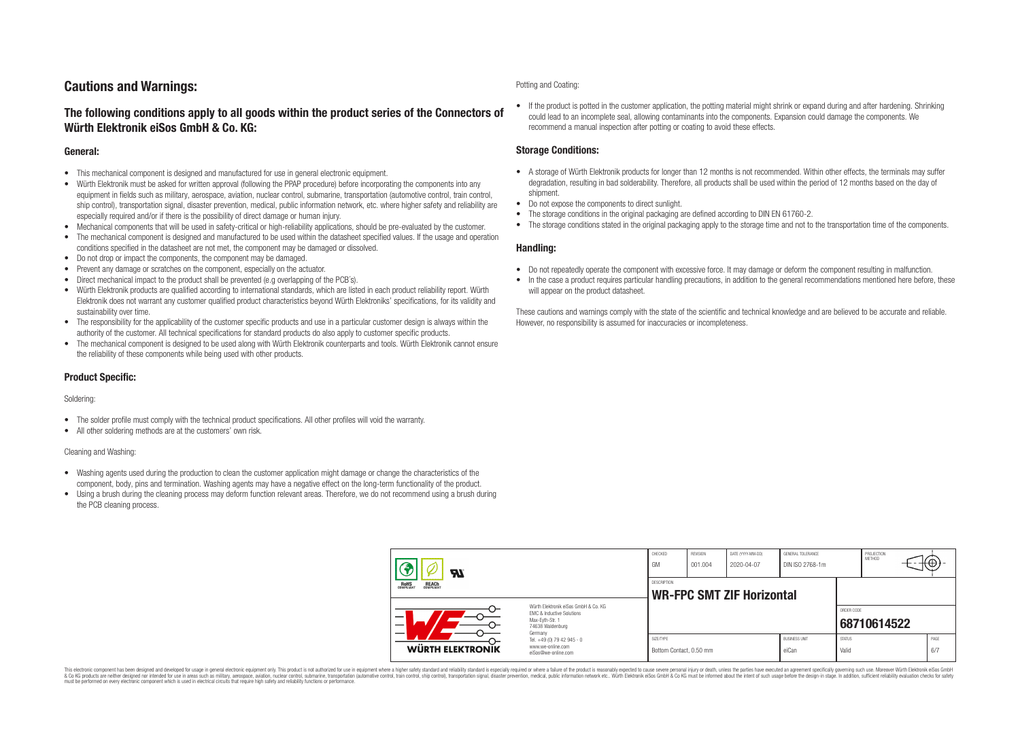# **Cautions and Warnings:**

## **The following conditions apply to all goods within the product series of the Connectors of Würth Elektronik eiSos GmbH & Co. KG:**

## **General:**

- This mechanical component is designed and manufactured for use in general electronic equipment.
- Würth Elektronik must be asked for written approval (following the PPAP procedure) before incorporating the components into any equipment in fields such as military, aerospace, aviation, nuclear control, submarine, transportation (automotive control, train control, ship control), transportation signal, disaster prevention, medical, public information network, etc. where higher safety and reliability are especially required and/or if there is the possibility of direct damage or human injury.
- Mechanical components that will be used in safety-critical or high-reliability applications, should be pre-evaluated by the customer.
- The mechanical component is designed and manufactured to be used within the datasheet specified values. If the usage and operation conditions specified in the datasheet are not met, the component may be damaged or dissolved.
- Do not drop or impact the components, the component may be damaged.
- Prevent any damage or scratches on the component, especially on the actuator.
- Direct mechanical impact to the product shall be prevented (e.g overlapping of the PCB's).
- Würth Elektronik products are qualified according to international standards, which are listed in each product reliability report. Würth Elektronik does not warrant any customer qualified product characteristics beyond Würth Elektroniks' specifications, for its validity and sustainability over time.
- The responsibility for the applicability of the customer specific products and use in a particular customer design is always within the authority of the customer. All technical specifications for standard products do also apply to customer specific products.
- The mechanical component is designed to be used along with Würth Elektronik counterparts and tools. Würth Elektronik cannot ensure the reliability of these components while being used with other products.

## **Product Specific:**

#### Soldering:

- The solder profile must comply with the technical product specifications. All other profiles will void the warranty.
- All other soldering methods are at the customers' own risk.

#### Cleaning and Washing:

- Washing agents used during the production to clean the customer application might damage or change the characteristics of the component, body, pins and termination. Washing agents may have a negative effect on the long-term functionality of the product.
- Using a brush during the cleaning process may deform function relevant areas. Therefore, we do not recommend using a brush during the PCB cleaning process.

#### Potting and Coating:

• If the product is potted in the customer application, the potting material might shrink or expand during and after hardening. Shrinking could lead to an incomplete seal, allowing contaminants into the components. Expansion could damage the components. We recommend a manual inspection after potting or coating to avoid these effects.

## **Storage Conditions:**

- A storage of Würth Elektronik products for longer than 12 months is not recommended. Within other effects, the terminals may suffer degradation, resulting in bad solderability. Therefore, all products shall be used within the period of 12 months based on the day of shipment.
- Do not expose the components to direct sunlight.
- The storage conditions in the original packaging are defined according to DIN EN 61760-2.
- The storage conditions stated in the original packaging apply to the storage time and not to the transportation time of the components.

### **Handling:**

- Do not repeatedly operate the component with excessive force. It may damage or deform the component resulting in malfunction.
- In the case a product requires particular handling precautions, in addition to the general recommendations mentioned here before, these will appear on the product datasheet.

These cautions and warnings comply with the state of the scientific and technical knowledge and are believed to be accurate and reliable. However, no responsibility is assumed for inaccuracies or incompleteness.

| Hī                                                                                                                                                              |                                                                                   | CHECKED<br>GM                                          | REVISION<br>001.004 | DATE (YYYY-MM-DD)<br>2020-04-07 | GENERAL TOLERANCE<br>DIN ISO 2768-1m |                           | PROJECTION<br><b>METHOD</b> |  | ₩           |
|-----------------------------------------------------------------------------------------------------------------------------------------------------------------|-----------------------------------------------------------------------------------|--------------------------------------------------------|---------------------|---------------------------------|--------------------------------------|---------------------------|-----------------------------|--|-------------|
| ROHS<br>COMPLIANT<br><b>REACH</b><br>COMPLIANT<br>Würth Flektronik eiSos GmbH & Co. KG<br>FMC & Inductive Solutions<br>–<br>Max-Eyth-Str. 1<br>74638 Waldenburg |                                                                                   | <b>DESCRIPTION</b><br><b>WR-FPC SMT ZIF Horizontal</b> |                     |                                 |                                      |                           |                             |  |             |
|                                                                                                                                                                 |                                                                                   |                                                        |                     |                                 |                                      | ORDER CODE<br>68710614522 |                             |  |             |
| WÜRTH ELEKTRONIK                                                                                                                                                | Germany<br>Tel. +49 (0) 79 42 945 - 0<br>www.we-online.com<br>eiSos@we-online.com | SIZE/TYPE<br>Bottom Contact, 0.50 mm                   |                     |                                 | <b>BUSINESS UNIT</b><br>eiCan        | <b>STATUS</b><br>Valid    |                             |  | PAGE<br>6/7 |

This electronic component has been designed and developed for usage in general electronic equipment only. This product is not authorized for use in equipment where a higher safety standard and reliability standard si espec & Ook product a label and the membed of the seasuch as marked and as which such a membed and the such assume that income in the seasuch and the simulation and the such assume that include to the such a membed and the such